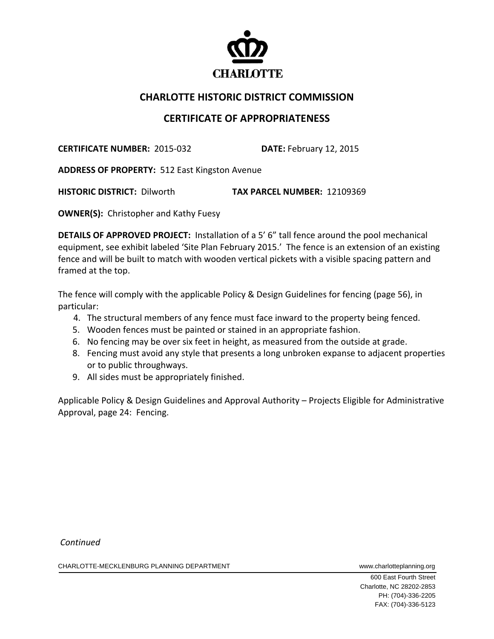

## **CHARLOTTE HISTORIC DISTRICT COMMISSION**

## **CERTIFICATE OF APPROPRIATENESS**

**CERTIFICATE NUMBER:** 2015‐032 **DATE:** February 12, 2015

**ADDRESS OF PROPERTY:** 512 East Kingston Avenue

**HISTORIC DISTRICT:** Dilworth **TAX PARCEL NUMBER:** 12109369

**OWNER(S):** Christopher and Kathy Fuesy

**DETAILS OF APPROVED PROJECT:** Installation of a 5' 6" tall fence around the pool mechanical equipment, see exhibit labeled 'Site Plan February 2015.' The fence is an extension of an existing fence and will be built to match with wooden vertical pickets with a visible spacing pattern and framed at the top.

The fence will comply with the applicable Policy & Design Guidelines for fencing (page 56), in particular:

- 4. The structural members of any fence must face inward to the property being fenced.
- 5. Wooden fences must be painted or stained in an appropriate fashion.
- 6. No fencing may be over six feet in height, as measured from the outside at grade.
- 8. Fencing must avoid any style that presents a long unbroken expanse to adjacent properties or to public throughways.
- 9. All sides must be appropriately finished.

Applicable Policy & Design Guidelines and Approval Authority – Projects Eligible for Administrative Approval, page 24: Fencing.

*Continued*

CHARLOTTE-MECKLENBURG PLANNING DEPARTMENT WWW.charlotteplanning.org

 600 East Fourth Street Charlotte, NC 28202-2853 PH: (704)-336-2205 FAX: (704)-336-5123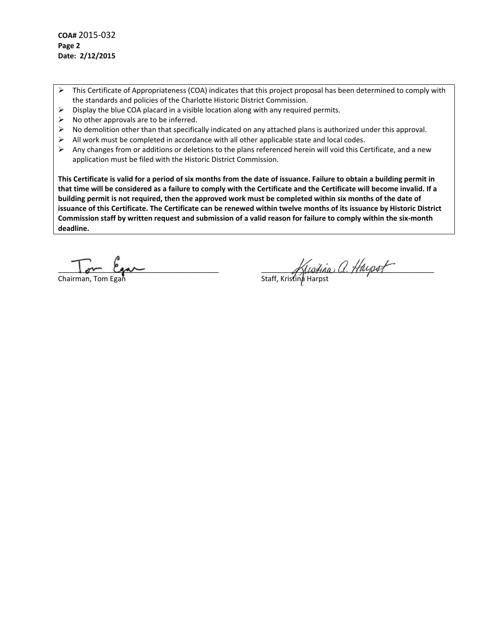**COA#** 2015‐032 **Page 2 Date: 2/12/2015**

- $\triangleright$  This Certificate of Appropriateness (COA) indicates that this project proposal has been determined to comply with the standards and policies of the Charlotte Historic District Commission.
- $\triangleright$  Display the blue COA placard in a visible location along with any required permits.
- $\triangleright$  No other approvals are to be inferred.
- $\triangleright$  No demolition other than that specifically indicated on any attached plans is authorized under this approval.
- $\triangleright$  All work must be completed in accordance with all other applicable state and local codes.
- Any changes from or additions or deletions to the plans referenced herein will void this Certificate, and a new application must be filed with the Historic District Commission.

This Certificate is valid for a period of six months from the date of issuance. Failure to obtain a building permit in that time will be considered as a failure to comply with the Certificate and the Certificate will become invalid. If a building permit is not required, then the approved work must be completed within six months of the date of issuance of this Certificate. The Certificate can be renewed within twelve months of its issuance by Historic District Commission staff by written request and submission of a valid reason for failure to comply within the six-month **deadline.**

 $\Gamma$   $\ell$ Chairman, Tom Egan

\_\_\_\_\_\_\_\_\_\_\_\_\_\_\_\_\_\_\_\_\_\_\_\_\_\_\_\_\_\_\_\_\_\_\_\_\_\_\_\_ \_\_\_\_\_\_\_\_\_\_\_\_\_\_\_\_\_\_\_\_\_\_\_\_\_\_\_\_\_\_\_\_\_\_\_\_\_\_\_\_\_\_\_